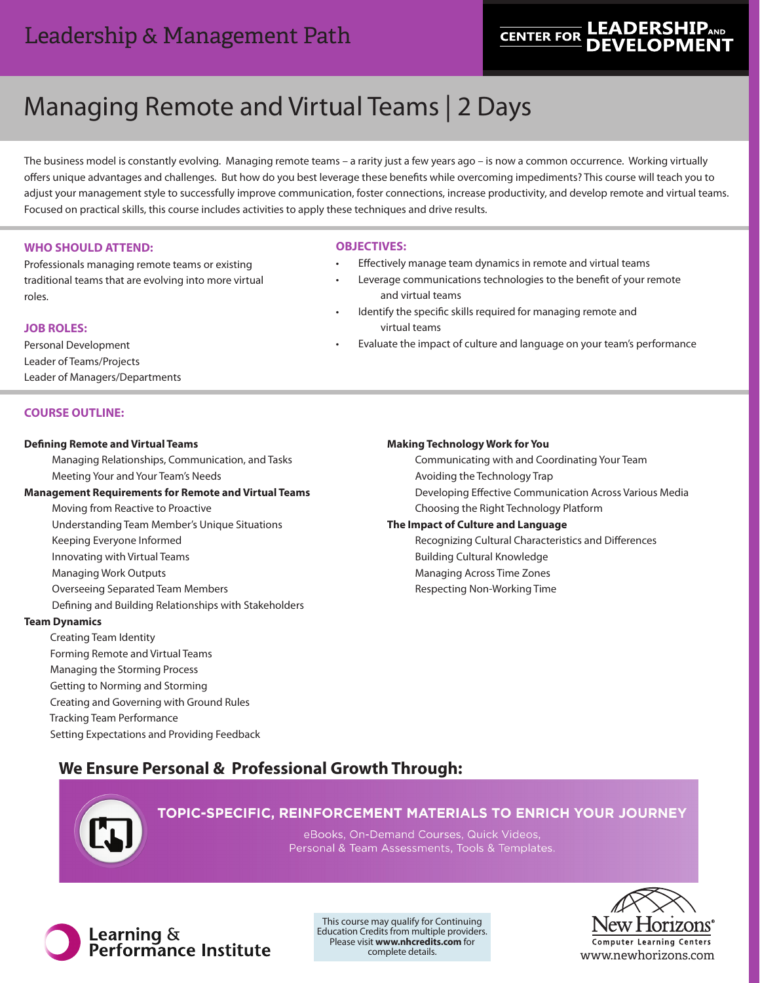# Leadership & Management Path

# **LEADERSHIP<sub>AND</sub> CENTER FOR**

# Managing Remote and Virtual Teams | 2 Days

The business model is constantly evolving. Managing remote teams – a rarity just a few years ago – is now a common occurrence. Working virtually offers unique advantages and challenges. But how do you best leverage these benefits while overcoming impediments? This course will teach you to adjust your management style to successfully improve communication, foster connections, increase productivity, and develop remote and virtual teams. Focused on practical skills, this course includes activities to apply these techniques and drive results.

# **WHO SHOULD ATTEND:**

Professionals managing remote teams or existing traditional teams that are evolving into more virtual roles.

## **JOB ROLES:**

Personal Development Leader of Teams/Projects Leader of Managers/Departments

## **COURSE OUTLINE:**

### **Defining Remote and Virtual Teams**

Managing Relationships, Communication, and Tasks Meeting Your and Your Team's Needs

### **Management Requirements for Remote and Virtual Teams**

Moving from Reactive to Proactive Understanding Team Member's Unique Situations Keeping Everyone Informed Innovating with Virtual Teams Managing Work Outputs Overseeing Separated Team Members Defining and Building Relationships with Stakeholders

### **Team Dynamics**

 Creating Team Identity Forming Remote and Virtual Teams Managing the Storming Process Getting to Norming and Storming Creating and Governing with Ground Rules Tracking Team Performance Setting Expectations and Providing Feedback

### **OBJECTIVES:**

- Effectively manage team dynamics in remote and virtual teams
- Leverage communications technologies to the benefit of your remote and virtual teams
- Identify the specific skills required for managing remote and virtual teams
- Evaluate the impact of culture and language on your team's performance

### **Making Technology Work for You**

Communicating with and Coordinating Your Team Avoiding the Technology Trap Developing Effective Communication Across Various Media Choosing the Right Technology Platform

## **The Impact of Culture and Language**

Recognizing Cultural Characteristics and Differences Building Cultural Knowledge Managing Across Time Zones Respecting Non-Working Time

# **We Ensure Personal & Professional Growth Through:**



# TOPIC-SPECIFIC, REINFORCEMENT MATERIALS TO ENRICH YOUR JOURNEY

eBooks, On-Demand Courses, Quick Videos, Personal & Team Assessments, Tools & Templates.



This course may qualify for Continuing Education Credits from multiple providers. Please visit **www.nhcredits.com** for